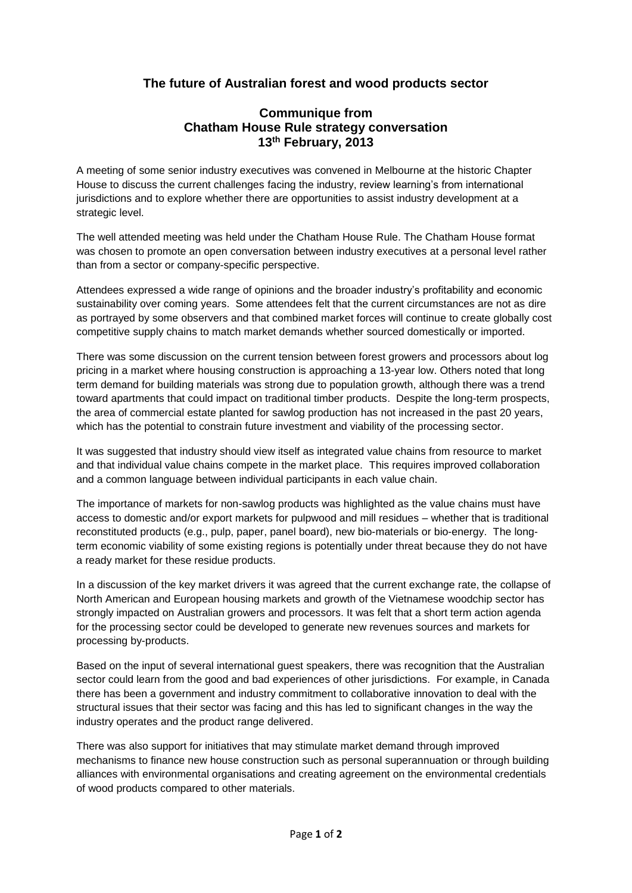# **The future of Australian forest and wood products sector**

# **Communique from Chatham House Rule strategy conversation 13th February, 2013**

A meeting of some senior industry executives was convened in Melbourne at the historic Chapter House to discuss the current challenges facing the industry, review learning's from international jurisdictions and to explore whether there are opportunities to assist industry development at a strategic level.

The well attended meeting was held under the Chatham House Rule. The Chatham House format was chosen to promote an open conversation between industry executives at a personal level rather than from a sector or company-specific perspective.

Attendees expressed a wide range of opinions and the broader industry's profitability and economic sustainability over coming years. Some attendees felt that the current circumstances are not as dire as portrayed by some observers and that combined market forces will continue to create globally cost competitive supply chains to match market demands whether sourced domestically or imported.

There was some discussion on the current tension between forest growers and processors about log pricing in a market where housing construction is approaching a 13-year low. Others noted that long term demand for building materials was strong due to population growth, although there was a trend toward apartments that could impact on traditional timber products. Despite the long-term prospects, the area of commercial estate planted for sawlog production has not increased in the past 20 years, which has the potential to constrain future investment and viability of the processing sector.

It was suggested that industry should view itself as integrated value chains from resource to market and that individual value chains compete in the market place. This requires improved collaboration and a common language between individual participants in each value chain.

The importance of markets for non-sawlog products was highlighted as the value chains must have access to domestic and/or export markets for pulpwood and mill residues – whether that is traditional reconstituted products (e.g., pulp, paper, panel board), new bio-materials or bio-energy. The longterm economic viability of some existing regions is potentially under threat because they do not have a ready market for these residue products.

In a discussion of the key market drivers it was agreed that the current exchange rate, the collapse of North American and European housing markets and growth of the Vietnamese woodchip sector has strongly impacted on Australian growers and processors. It was felt that a short term action agenda for the processing sector could be developed to generate new revenues sources and markets for processing by-products.

Based on the input of several international guest speakers, there was recognition that the Australian sector could learn from the good and bad experiences of other jurisdictions. For example, in Canada there has been a government and industry commitment to collaborative innovation to deal with the structural issues that their sector was facing and this has led to significant changes in the way the industry operates and the product range delivered.

There was also support for initiatives that may stimulate market demand through improved mechanisms to finance new house construction such as personal superannuation or through building alliances with environmental organisations and creating agreement on the environmental credentials of wood products compared to other materials.